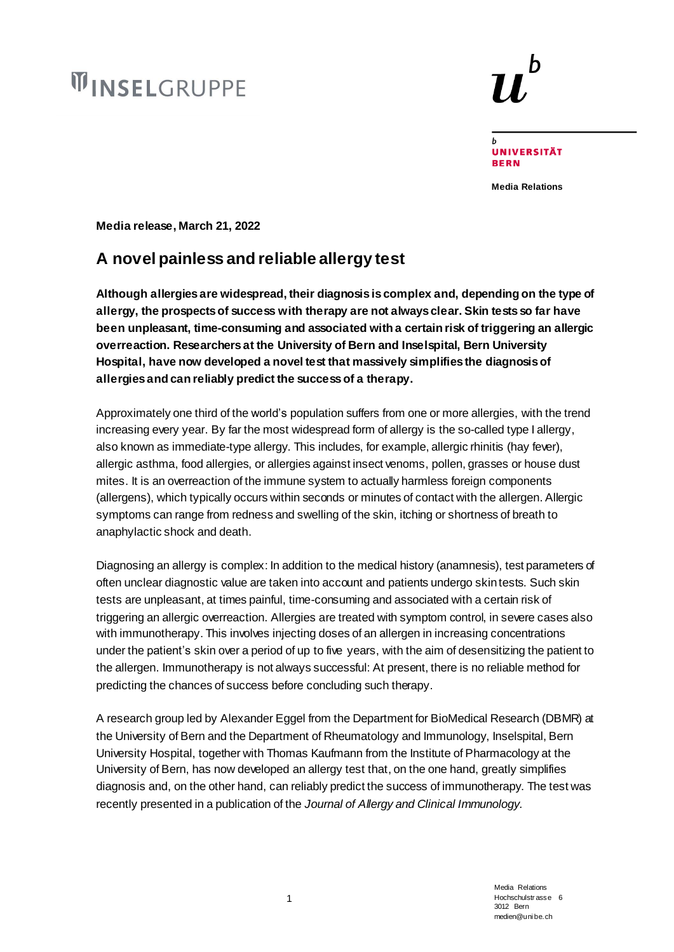# **WINSELGRUPPE**



**UNIVERSITÄT BERN** 

h

**Media Relations**

**Media release, March 21, 2022**

# **A novel painless and reliable allergy test**

**Although allergies are widespread, their diagnosis is complex and, depending on the type of allergy, the prospects of success with therapy are not always clear. Skin tests so far have been unpleasant, time-consuming and associated with a certain risk of triggering an allergic overreaction. Researchers at the University of Bern and Inselspital, Bern University Hospital, have now developed a novel test that massively simplifies the diagnosis of allergies and can reliably predict the success of a therapy.**

Approximately one third of the world's population suffers from one or more allergies, with the trend increasing every year. By far the most widespread form of allergy is the so-called type I allergy, also known as immediate-type allergy. This includes, for example, allergic rhinitis (hay fever), allergic asthma, food allergies, or allergies against insect venoms, pollen, grasses or house dust mites. It is an overreaction of the immune system to actually harmless foreign components (allergens), which typically occurs within seconds or minutes of contact with the allergen. Allergic symptoms can range from redness and swelling of the skin, itching or shortness of breath to anaphylactic shock and death.

Diagnosing an allergy is complex: In addition to the medical history (anamnesis), test parameters of often unclear diagnostic value are taken into account and patients undergo skin tests. Such skin tests are unpleasant, at times painful, time-consuming and associated with a certain risk of triggering an allergic overreaction. Allergies are treated with symptom control, in severe cases also with immunotherapy. This involves injecting doses of an allergen in increasing concentrations under the patient's skin over a period of up to five years, with the aim of desensitizing the patient to the allergen. Immunotherapy is not always successful: At present, there is no reliable method for predicting the chances of success before concluding such therapy.

A research group led by Alexander Eggel from the Department for BioMedical Research (DBMR) at the University of Bern and the Department of Rheumatology and Immunology, Inselspital, Bern University Hospital, together with Thomas Kaufmann from the Institute of Pharmacology at the University of Bern, has now developed an allergy test that, on the one hand, greatly simplifies diagnosis and, on the other hand, can reliably predict the success of immunotherapy. The test was recently presented in a publication of the *Journal of Allergy and Clinical Immunology.*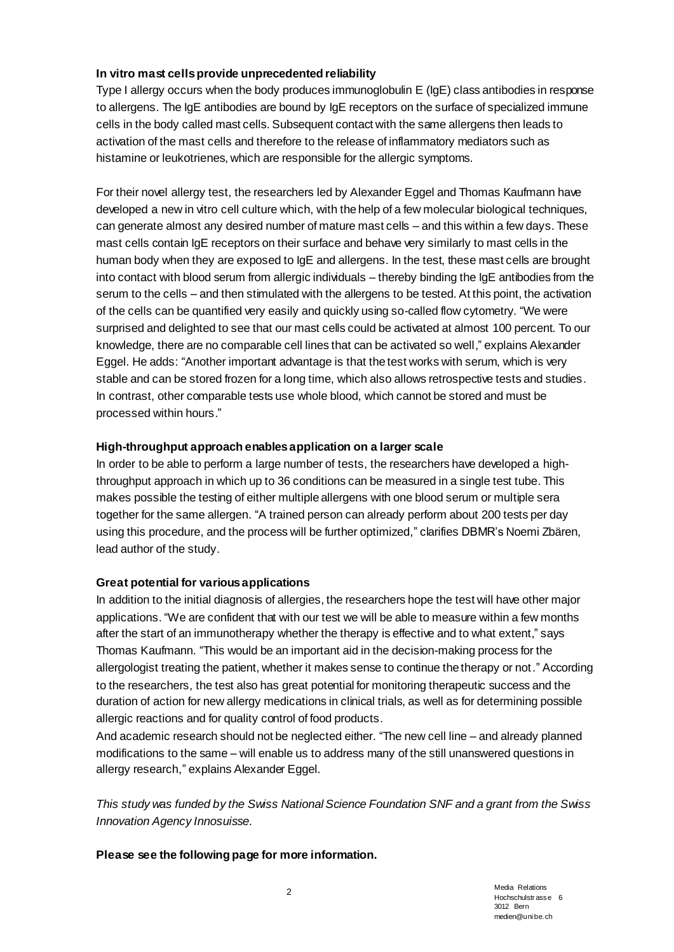# **In vitro mast cells provide unprecedented reliability**

Type I allergy occurs when the body produces immunoglobulin E (IgE) class antibodies in response to allergens. The IgE antibodies are bound by IgE receptors on the surface of specialized immune cells in the body called mast cells. Subsequent contact with the same allergens then leads to activation of the mast cells and therefore to the release of inflammatory mediators such as histamine or leukotrienes, which are responsible for the allergic symptoms.

For their novel allergy test, the researchers led by Alexander Eggel and Thomas Kaufmann have developed a new in vitro cell culture which, with the help of a few molecular biological techniques, can generate almost any desired number of mature mast cells – and this within a few days. These mast cells contain IgE receptors on their surface and behave very similarly to mast cells in the human body when they are exposed to IgE and allergens. In the test, these mast cells are brought into contact with blood serum from allergic individuals – thereby binding the IgE antibodies from the serum to the cells – and then stimulated with the allergens to be tested. At this point, the activation of the cells can be quantified very easily and quickly using so-called flow cytometry. "We were surprised and delighted to see that our mast cells could be activated at almost 100 percent. To our knowledge, there are no comparable cell lines that can be activated so well," explains Alexander Eggel. He adds: "Another important advantage is that the test works with serum, which is very stable and can be stored frozen for a long time, which also allows retrospective tests and studies. In contrast, other comparable tests use whole blood, which cannot be stored and must be processed within hours."

# **High-throughput approach enablesapplication on a larger scale**

In order to be able to perform a large number of tests, the researchers have developed a highthroughput approach in which up to 36 conditions can be measured in a single test tube. This makes possible the testing of either multiple allergens with one blood serum or multiple sera together for the same allergen. "A trained person can already perform about 200 tests per day using this procedure, and the process will be further optimized," clarifies DBMR's Noemi Zbären, lead author of the study.

# **Great potential for various applications**

In addition to the initial diagnosis of allergies, the researchers hope the test will have other major applications. "We are confident that with our test we will be able to measure within a few months after the start of an immunotherapy whether the therapy is effective and to what extent," says Thomas Kaufmann. "This would be an important aid in the decision-making process for the allergologist treating the patient, whether it makes sense to continue the therapy or not." According to the researchers, the test also has great potential for monitoring therapeutic success and the duration of action for new allergy medications in clinical trials, as well as for determining possible allergic reactions and for quality control of food products.

And academic research should not be neglected either. "The new cell line – and already planned modifications to the same – will enable us to address many of the still unanswered questions in allergy research," explains Alexander Eggel.

*This study was funded by the Swiss National Science Foundation SNF and a grant from the Swiss Innovation Agency Innosuisse.*

**Please see the following page for more information.**